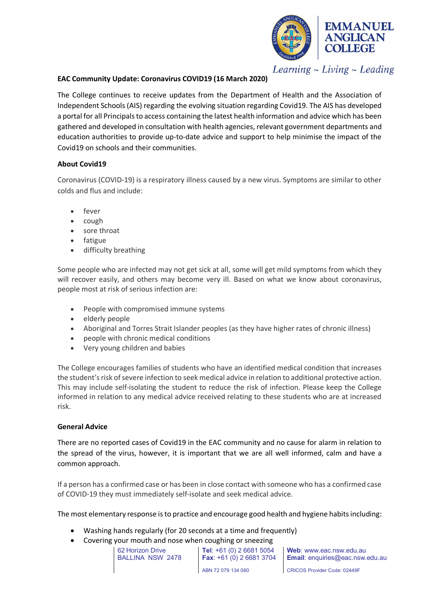

Learning  $\sim$  Living  $\sim$  Leading

# **EAC Community Update: Coronavirus COVID19 (16 March 2020)**

The College continues to receive updates from the Department of Health and the Association of Independent Schools (AIS) regarding the evolving situation regarding Covid19. The AIS has developed a portal for all Principals to access containing the latest health information and advice which has been gathered and developed in consultation with health agencies, relevant government departments and education authorities to provide up-to-date advice and support to help minimise the impact of the Covid19 on schools and their communities.

## **About Covid19**

Coronavirus (COVID-19) is a respiratory illness caused by a new virus. Symptoms are similar to other colds and flus and include:

- fever
- cough
- sore throat
- fatigue
- difficulty breathing

Some people who are infected may not get sick at all, some will get mild symptoms from which they will recover easily, and others may become very ill. Based on what we know about coronavirus, people most at risk of serious infection are:

- People with compromised immune systems
- elderly people
- Aboriginal and Torres Strait Islander peoples (as they have higher rates of chronic illness)
- people with chronic medical conditions
- Very young children and babies

The College encourages families of students who have an identified medical condition that increases the student's risk of severe infection to seek medical advice in relation to additional protective action. This may include self-isolating the student to reduce the risk of infection. Please keep the College informed in relation to any medical advice received relating to these students who are at increased risk.

# **General Advice**

There are no reported cases of Covid19 in the EAC community and no cause for alarm in relation to the spread of the virus, however, it is important that we are all well informed, calm and have a common approach.

If a person has a confirmed case or has been in close contact with someone who has a confirmed case of COVID-19 they must immediately self-isolate and seek medical advice.

The most elementary response is to practice and encourage good health and hygiene habits including:

- Washing hands regularly (for 20 seconds at a time and frequently)
- Covering your mouth and nose when coughing or sneezing

62 Horizon Drive BALLINA NSW 2478 **Tel**: +61 (0) 2 6681 5054 **Fax**: +61 (0) 2 6681 3704 ABN 72 079 134 060

**Web**: www.eac.nsw.edu.au **Email**: enquiries@eac.nsw.edu.au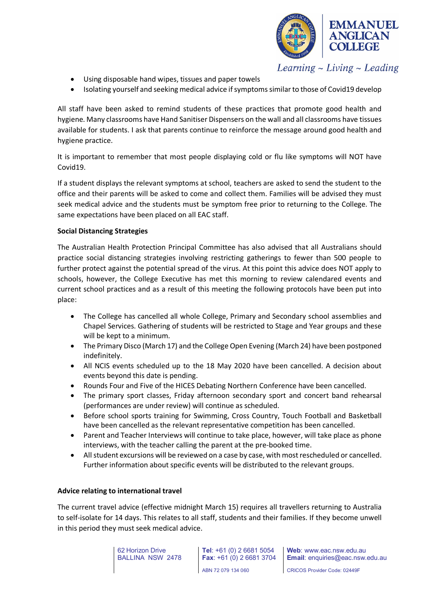

 $Learning \sim Living \sim Leading$ 

- Using disposable hand wipes, tissues and paper towels
- Isolating yourself and seeking medical advice if symptoms similar to those of Covid19 develop

All staff have been asked to remind students of these practices that promote good health and hygiene. Many classrooms have Hand Sanitiser Dispensers on the wall and all classrooms have tissues available for students. I ask that parents continue to reinforce the message around good health and hygiene practice.

It is important to remember that most people displaying cold or flu like symptoms will NOT have Covid19.

If a student displays the relevant symptoms at school, teachers are asked to send the student to the office and their parents will be asked to come and collect them. Families will be advised they must seek medical advice and the students must be symptom free prior to returning to the College. The same expectations have been placed on all EAC staff.

### **Social Distancing Strategies**

The Australian Health Protection Principal Committee has also advised that all Australians should practice social distancing strategies involving restricting gatherings to fewer than 500 people to further protect against the potential spread of the virus. At this point this advice does NOT apply to schools, however, the College Executive has met this morning to review calendared events and current school practices and as a result of this meeting the following protocols have been put into place:

- The College has cancelled all whole College, Primary and Secondary school assemblies and Chapel Services. Gathering of students will be restricted to Stage and Year groups and these will be kept to a minimum.
- The Primary Disco (March 17) and the College Open Evening (March 24) have been postponed indefinitely.
- All NCIS events scheduled up to the 18 May 2020 have been cancelled. A decision about events beyond this date is pending.
- Rounds Four and Five of the HICES Debating Northern Conference have been cancelled.
- The primary sport classes, Friday afternoon secondary sport and concert band rehearsal (performances are under review) will continue as scheduled.
- Before school sports training for Swimming, Cross Country, Touch Football and Basketball have been cancelled as the relevant representative competition has been cancelled.
- Parent and Teacher Interviews will continue to take place, however, will take place as phone interviews, with the teacher calling the parent at the pre-booked time.
- All student excursions will be reviewed on a case by case, with most rescheduled or cancelled. Further information about specific events will be distributed to the relevant groups.

#### **Advice relating to international travel**

The current travel advice (effective midnight March 15) requires all travellers returning to Australia to self-isolate for 14 days. This relates to all staff, students and their families. If they become unwell in this period they must seek medical advice.

> 62 Horizon Drive BALLINA NSW 2478

**Tel**: +61 (0) 2 6681 5054 **Fax**: +61 (0) 2 6681 3704 ABN 72 079 134 060

**Web**: www.eac.nsw.edu.au **Email**: enquiries@eac.nsw.edu.au